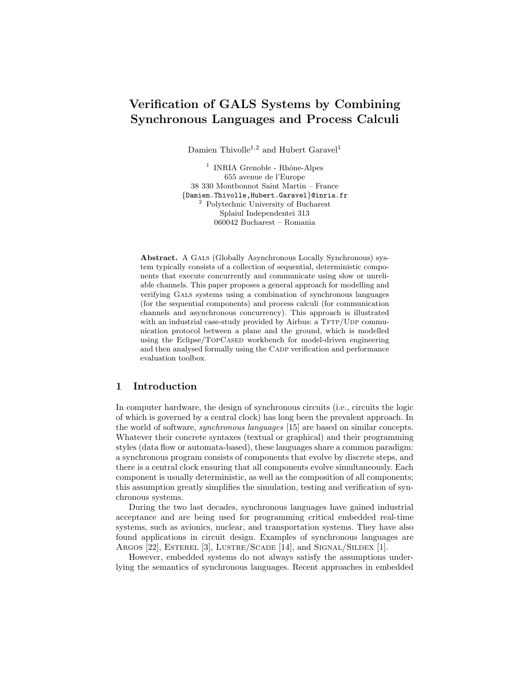# Verification of GALS Systems by Combining Synchronous Languages and Process Calculi

Damien Thivolle<sup>1,2</sup> and Hubert Garavel<sup>1</sup>

<sup>1</sup> INRIA Grenoble - Rhône-Alpes 655 avenue de l'Europe 38 330 Montbonnot Saint Martin – France {Damien.Thivolle,Hubert.Garavel}@inria.fr <sup>2</sup> Polytechnic University of Bucharest Splaiul Independentei 313 060042 Bucharest – Romania

Abstract. A GALS (Globally Asynchronous Locally Synchronous) system typically consists of a collection of sequential, deterministic components that execute concurrently and communicate using slow or unreliable channels. This paper proposes a general approach for modelling and verifying Gals systems using a combination of synchronous languages (for the sequential components) and process calculi (for communication channels and asynchronous concurrency). This approach is illustrated with an industrial case-study provided by Airbus: a  $TFTP/UDP$  communication protocol between a plane and the ground, which is modelled using the Eclipse/TOPCASED workbench for model-driven engineering and then analysed formally using the CADP verification and performance evaluation toolbox.

# 1 Introduction

In computer hardware, the design of synchronous circuits (i.e., circuits the logic of which is governed by a central clock) has long been the prevalent approach. In the world of software, synchronous languages [15] are based on similar concepts. Whatever their concrete syntaxes (textual or graphical) and their programming styles (data flow or automata-based), these languages share a common paradigm: a synchronous program consists of components that evolve by discrete steps, and there is a central clock ensuring that all components evolve simultaneously. Each component is usually deterministic, as well as the composition of all components; this assumption greatly simplifies the simulation, testing and verification of synchronous systems.

During the two last decades, synchronous languages have gained industrial acceptance and are being used for programming critical embedded real-time systems, such as avionics, nuclear, and transportation systems. They have also found applications in circuit design. Examples of synchronous languages are ARGOS [22], ESTEREL [3], LUSTRE/SCADE [14], and SIGNAL/SILDEX [1].

However, embedded systems do not always satisfy the assumptions underlying the semantics of synchronous languages. Recent approaches in embedded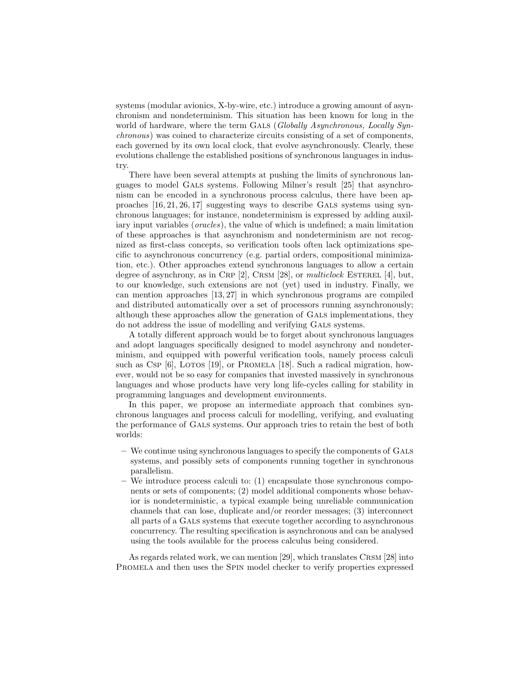systems (modular avionics, X-by-wire, etc.) introduce a growing amount of asynchronism and nondeterminism. This situation has been known for long in the world of hardware, where the term GALS (Globally Asynchronous, Locally Synchronous) was coined to characterize circuits consisting of a set of components, each governed by its own local clock, that evolve asynchronously. Clearly, these evolutions challenge the established positions of synchronous languages in industry.

There have been several attempts at pushing the limits of synchronous languages to model Gals systems. Following Milner's result [25] that asynchronism can be encoded in a synchronous process calculus, there have been approaches [16, 21, 26, 17] suggesting ways to describe Gals systems using synchronous languages; for instance, nondeterminism is expressed by adding auxiliary input variables (*oracles*), the value of which is undefined; a main limitation of these approaches is that asynchronism and nondeterminism are not recognized as first-class concepts, so verification tools often lack optimizations specific to asynchronous concurrency (e.g. partial orders, compositional minimization, etc.). Other approaches extend synchronous languages to allow a certain degree of asynchrony, as in CRP [2], CRSM [28], or multiclock ESTEREL [4], but, to our knowledge, such extensions are not (yet) used in industry. Finally, we can mention approaches [13, 27] in which synchronous programs are compiled and distributed automatically over a set of processors running asynchronously; although these approaches allow the generation of Gals implementations, they do not address the issue of modelling and verifying Gals systems.

A totally different approach would be to forget about synchronous languages and adopt languages specifically designed to model asynchrony and nondeterminism, and equipped with powerful verification tools, namely process calculi such as Csp  $[6]$ , LOTOS  $[19]$ , or PROMELA  $[18]$ . Such a radical migration, however, would not be so easy for companies that invested massively in synchronous languages and whose products have very long life-cycles calling for stability in programming languages and development environments.

In this paper, we propose an intermediate approach that combines synchronous languages and process calculi for modelling, verifying, and evaluating the performance of Gals systems. Our approach tries to retain the best of both worlds:

- We continue using synchronous languages to specify the components of Gals systems, and possibly sets of components running together in synchronous parallelism.
- We introduce process calculi to: (1) encapsulate those synchronous components or sets of components; (2) model additional components whose behavior is nondeterministic, a typical example being unreliable communication channels that can lose, duplicate and/or reorder messages; (3) interconnect all parts of a Gals systems that execute together according to asynchronous concurrency. The resulting specification is asynchronous and can be analysed using the tools available for the process calculus being considered.

As regards related work, we can mention [29], which translates CRSM [28] into Promela and then uses the Spin model checker to verify properties expressed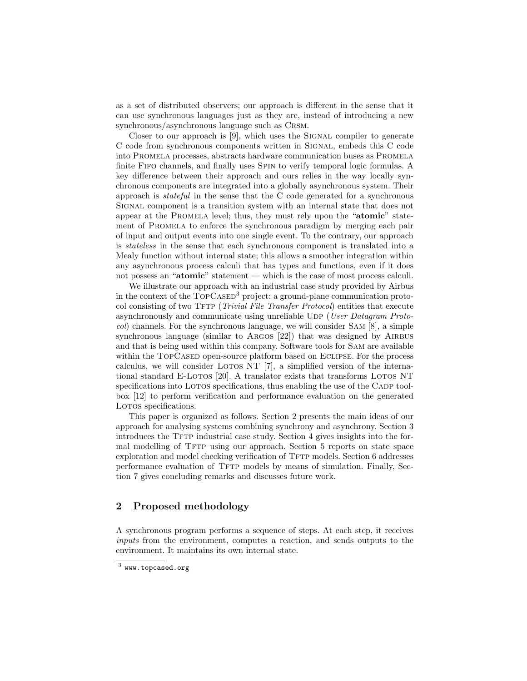as a set of distributed observers; our approach is different in the sense that it can use synchronous languages just as they are, instead of introducing a new synchronous/asynchronous language such as Crsm.

Closer to our approach is [9], which uses the SIGNAL compiler to generate C code from synchronous components written in Signal, embeds this C code into Promela processes, abstracts hardware communication buses as Promela finite Fifo channels, and finally uses Spin to verify temporal logic formulas. A key difference between their approach and ours relies in the way locally synchronous components are integrated into a globally asynchronous system. Their approach is stateful in the sense that the C code generated for a synchronous Signal component is a transition system with an internal state that does not appear at the Promela level; thus, they must rely upon the "atomic" statement of Promela to enforce the synchronous paradigm by merging each pair of input and output events into one single event. To the contrary, our approach is stateless in the sense that each synchronous component is translated into a Mealy function without internal state; this allows a smoother integration within any asynchronous process calculi that has types and functions, even if it does not possess an "atomic" statement — which is the case of most process calculi.

We illustrate our approach with an industrial case study provided by Airbus in the context of the TOPCASED<sup>3</sup> project: a ground-plane communication protocol consisting of two TFTP (*Trivial File Transfer Protocol*) entities that execute asynchronously and communicate using unreliable UDP (User Datagram Protocol) channels. For the synchronous language, we will consider Sam [8], a simple synchronous language (similar to ARGOS [22]) that was designed by AIRBUS and that is being used within this company. Software tools for Sam are available within the TOPCASED open-source platform based on ECLIPSE. For the process calculus, we will consider LOTOS NT  $[7]$ , a simplified version of the international standard E-Loros [20]. A translator exists that transforms Loros NT specifications into LOTOS specifications, thus enabling the use of the CADP toolbox [12] to perform verification and performance evaluation on the generated LOTOS specifications.

This paper is organized as follows. Section 2 presents the main ideas of our approach for analysing systems combining synchrony and asynchrony. Section 3 introduces the TFTP industrial case study. Section 4 gives insights into the formal modelling of TFTP using our approach. Section 5 reports on state space exploration and model checking verification of TFTP models. Section 6 addresses performance evaluation of TFTP models by means of simulation. Finally, Section 7 gives concluding remarks and discusses future work.

# 2 Proposed methodology

A synchronous program performs a sequence of steps. At each step, it receives inputs from the environment, computes a reaction, and sends outputs to the environment. It maintains its own internal state.

 $^3$  www.topcased.org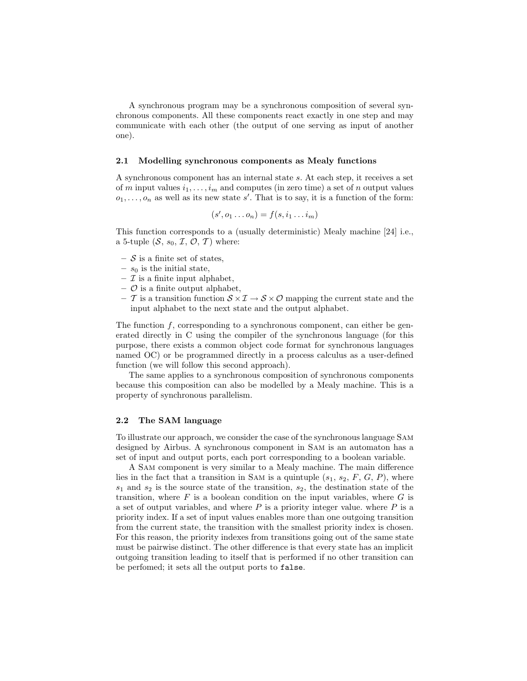A synchronous program may be a synchronous composition of several synchronous components. All these components react exactly in one step and may communicate with each other (the output of one serving as input of another one).

#### 2.1 Modelling synchronous components as Mealy functions

A synchronous component has an internal state s. At each step, it receives a set of m input values  $i_1, \ldots, i_m$  and computes (in zero time) a set of n output values  $o_1, \ldots, o_n$  as well as its new state s'. That is to say, it is a function of the form:

$$
(s', o_1 \dots o_n) = f(s, i_1 \dots i_m)
$$

This function corresponds to a (usually deterministic) Mealy machine [24] i.e., a 5-tuple  $(S, s_0, \mathcal{I}, \mathcal{O}, \mathcal{T})$  where:

- $-$  S is a finite set of states,
- $s_0$  is the initial state,
- $\mathcal I$  is a finite input alphabet,
- $\circ$  is a finite output alphabet,
- T is a transition function  $S \times I \to S \times O$  mapping the current state and the input alphabet to the next state and the output alphabet.

The function  $f$ , corresponding to a synchronous component, can either be generated directly in C using the compiler of the synchronous language (for this purpose, there exists a common object code format for synchronous languages named OC) or be programmed directly in a process calculus as a user-defined function (we will follow this second approach).

The same applies to a synchronous composition of synchronous components because this composition can also be modelled by a Mealy machine. This is a property of synchronous parallelism.

## 2.2 The SAM language

To illustrate our approach, we consider the case of the synchronous language Sam designed by Airbus. A synchronous component in Sam is an automaton has a set of input and output ports, each port corresponding to a boolean variable.

A Sam component is very similar to a Mealy machine. The main difference lies in the fact that a transition in SAM is a quintuple  $(s_1, s_2, F, G, P)$ , where  $s_1$  and  $s_2$  is the source state of the transition,  $s_2$ , the destination state of the transition, where  $F$  is a boolean condition on the input variables, where  $G$  is a set of output variables, and where  $P$  is a priority integer value. where  $P$  is a priority index. If a set of input values enables more than one outgoing transition from the current state, the transition with the smallest priority index is chosen. For this reason, the priority indexes from transitions going out of the same state must be pairwise distinct. The other difference is that every state has an implicit outgoing transition leading to itself that is performed if no other transition can be perfomed; it sets all the output ports to false.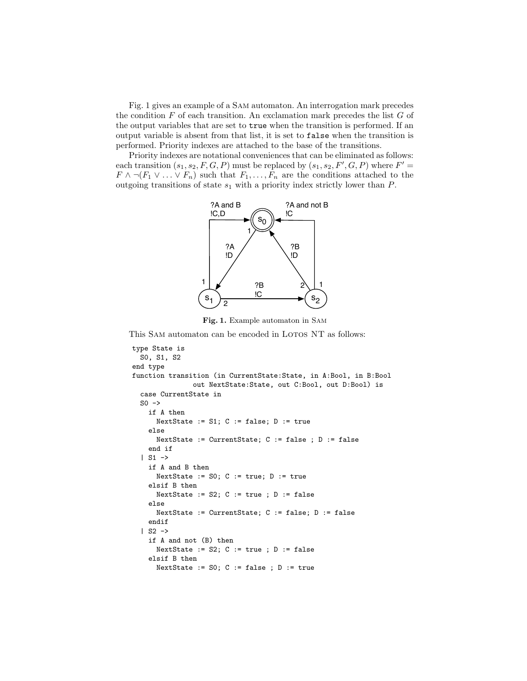Fig. 1 gives an example of a Sam automaton. An interrogation mark precedes the condition  $F$  of each transition. An exclamation mark precedes the list  $G$  of the output variables that are set to true when the transition is performed. If an output variable is absent from that list, it is set to false when the transition is performed. Priority indexes are attached to the base of the transitions.

Priority indexes are notational conveniences that can be eliminated as follows: each transition  $(s_1, s_2, F, G, P)$  must be replaced by  $(s_1, s_2, F', G, P)$  where  $F' =$  $F \wedge \neg (F_1 \vee \ldots \vee F_n)$  such that  $F_1, \ldots, F_n$  are the conditions attached to the outgoing transitions of state  $s_1$  with a priority index strictly lower than  $P$ .



Fig. 1. Example automaton in Sam

This SAM automaton can be encoded in LOTOS NT as follows:

```
type State is
 S0, S1, S2
end type
function transition (in CurrentState:State, in A:Bool, in B:Bool
               out NextState:State, out C:Bool, out D:Bool) is
  case CurrentState in
 SO \rightarrowif A then
      NextState := S1; C := false; D := true
    else
      NextState := CurrentState; C := false ; D := false
    end if
  | S1 \rightarrowif A and B then
      NextState := SO; C := true; D := true
    elsif B then
      NextState := S2; C := true ; D := false
    else
      NextState := CurrentState; C := false; D := false
    endif
  | S2 \rightarrowif A and not (B) then
      NextState := S2; C := true ; D := false
    elsif B then
      NextState := SO; C := false ; D := true
```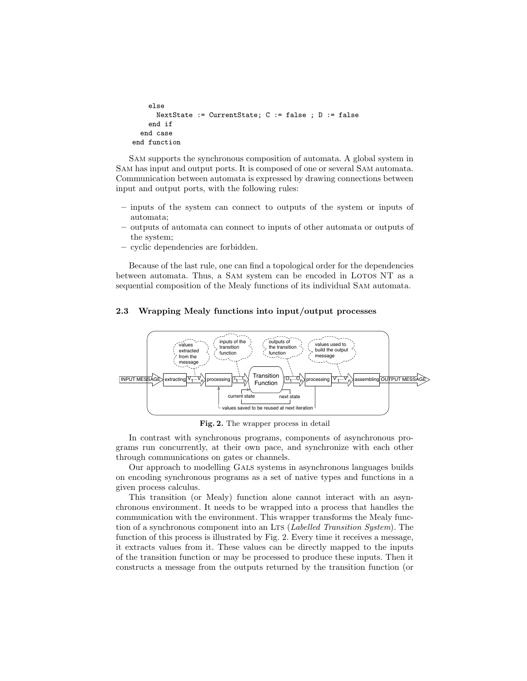```
else
      NextState := CurrentState; C := false ; D := false
    end if
  end case
end function
```
Sam supports the synchronous composition of automata. A global system in Sam has input and output ports. It is composed of one or several Sam automata. Communication between automata is expressed by drawing connections between input and output ports, with the following rules:

- inputs of the system can connect to outputs of the system or inputs of automata;
- outputs of automata can connect to inputs of other automata or outputs of the system;
- cyclic dependencies are forbidden.

Because of the last rule, one can find a topological order for the dependencies between automata. Thus, a SAM system can be encoded in LOTOS NT as a sequential composition of the Mealy functions of its individual Sam automata.

# 2.3 Wrapping Mealy functions into input/output processes



Fig. 2. The wrapper process in detail

In contrast with synchronous programs, components of asynchronous programs run concurrently, at their own pace, and synchronize with each other through communications on gates or channels.

Our approach to modelling Gals systems in asynchronous languages builds on encoding synchronous programs as a set of native types and functions in a given process calculus.

This transition (or Mealy) function alone cannot interact with an asynchronous environment. It needs to be wrapped into a process that handles the communication with the environment. This wrapper transforms the Mealy function of a synchronous component into an LTS (*Labelled Transition System*). The function of this process is illustrated by Fig. 2. Every time it receives a message, it extracts values from it. These values can be directly mapped to the inputs of the transition function or may be processed to produce these inputs. Then it constructs a message from the outputs returned by the transition function (or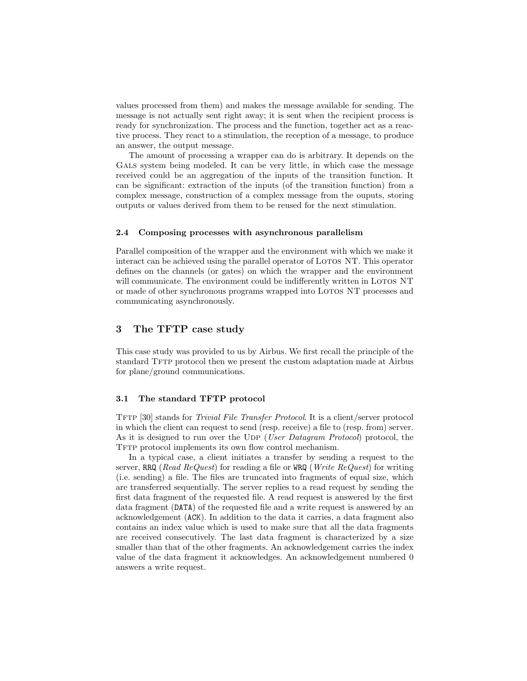values processed from them) and makes the message available for sending. The message is not actually sent right away; it is sent when the recipient process is ready for synchronization. The process and the function, together act as a reactive process. They react to a stimulation, the reception of a message, to produce an answer, the output message.

The amount of processing a wrapper can do is arbitrary. It depends on the GALS system being modeled. It can be very little, in which case the message received could be an aggregation of the inputs of the transition function. It can be significant: extraction of the inputs (of the transition function) from a complex message, construction of a complex message from the ouputs, storing outputs or values derived from them to be reused for the next stimulation.

#### 2.4 Composing processes with asynchronous parallelism

Parallel composition of the wrapper and the environment with which we make it interact can be achieved using the parallel operator of LOTOS NT. This operator defines on the channels (or gates) on which the wrapper and the environment will communicate. The environment could be indifferently written in LOTOS NT or made of other synchronous programs wrapped into Lotos NT processes and communicating asynchronously.

# 3 The TFTP case study

This case study was provided to us by Airbus. We first recall the principle of the standard TFTP protocol then we present the custom adaptation made at Airbus for plane/ground communications.

#### 3.1 The standard TFTP protocol

TFTP [30] stands for *Trivial File Transfer Protocol*. It is a client/server protocol in which the client can request to send (resp. receive) a file to (resp. from) server. As it is designed to run over the UDP (User Datagram Protocol) protocol, the TFTP protocol implements its own flow control mechanism.

In a typical case, a client initiates a transfer by sending a request to the server, RRQ (Read ReQuest) for reading a file or WRQ (Write ReQuest) for writing (i.e. sending) a file. The files are truncated into fragments of equal size, which are transferred sequentially. The server replies to a read request by sending the first data fragment of the requested file. A read request is answered by the first data fragment (DATA) of the requested file and a write request is answered by an acknowledgement (ACK). In addition to the data it carries, a data fragment also contains an index value which is used to make sure that all the data fragments are received consecutively. The last data fragment is characterized by a size smaller than that of the other fragments. An acknowledgement carries the index value of the data fragment it acknowledges. An acknowledgement numbered 0 answers a write request.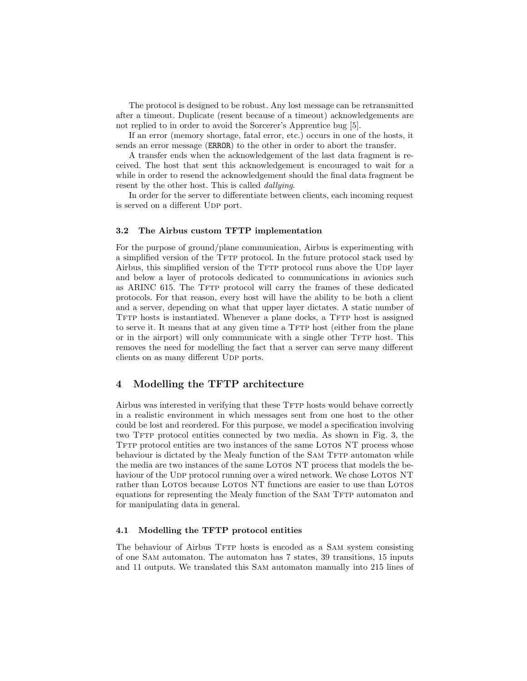The protocol is designed to be robust. Any lost message can be retransmitted after a timeout. Duplicate (resent because of a timeout) acknowledgements are not replied to in order to avoid the Sorcerer's Apprentice bug [5].

If an error (memory shortage, fatal error, etc.) occurs in one of the hosts, it sends an error message (ERROR) to the other in order to abort the transfer.

A transfer ends when the acknowledgement of the last data fragment is received. The host that sent this acknowledgement is encouraged to wait for a while in order to resend the acknowledgement should the final data fragment be resent by the other host. This is called *dallying*.

In order for the server to differentiate between clients, each incoming request is served on a different UDP port.

#### 3.2 The Airbus custom TFTP implementation

For the purpose of ground/plane communication, Airbus is experimenting with a simplified version of the TFTP protocol. In the future protocol stack used by Airbus, this simplified version of the TFTP protocol runs above the UDP layer and below a layer of protocols dedicated to communications in avionics such as ARINC 615. The TFTP protocol will carry the frames of these dedicated protocols. For that reason, every host will have the ability to be both a client and a server, depending on what that upper layer dictates. A static number of TFTP hosts is instantiated. Whenever a plane docks, a TFTP host is assigned to serve it. It means that at any given time a TFTP host (either from the plane or in the airport) will only communicate with a single other TFTP host. This removes the need for modelling the fact that a server can serve many different clients on as many different UDP ports.

# 4 Modelling the TFTP architecture

Airbus was interested in verifying that these TFTP hosts would behave correctly in a realistic environment in which messages sent from one host to the other could be lost and reordered. For this purpose, we model a specification involving two TFTP protocol entities connected by two media. As shown in Fig. 3, the TFTP protocol entities are two instances of the same LOTOS NT process whose behaviour is dictated by the Mealy function of the SAM TFTP automaton while the media are two instances of the same LOTOS NT process that models the behaviour of the UDP protocol running over a wired network. We chose LOTOS NT rather than LOTOS because LOTOS NT functions are easier to use than LOTOS equations for representing the Mealy function of the SAM TFTP automaton and for manipulating data in general.

#### 4.1 Modelling the TFTP protocol entities

The behaviour of Airbus Tftp hosts is encoded as a Sam system consisting of one Sam automaton. The automaton has 7 states, 39 transitions, 15 inputs and 11 outputs. We translated this Sam automaton manually into 215 lines of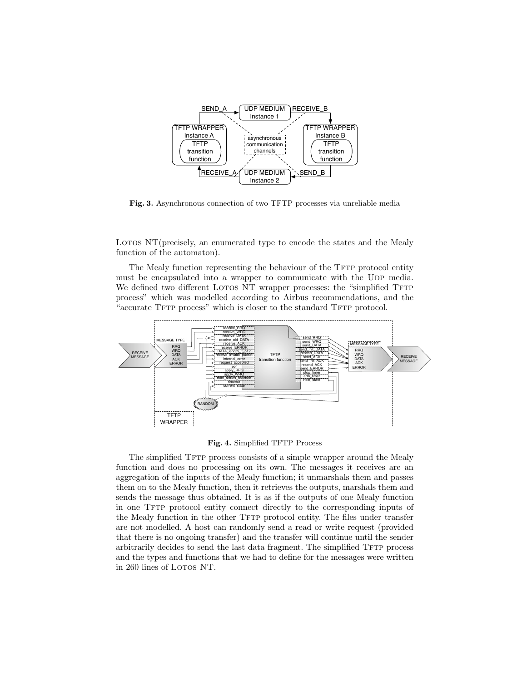

Fig. 3. Asynchronous connection of two TFTP processes via unreliable media

Lotos  $NT$ (precisely, an enumerated type to encode the states and the Mealy function of the automaton).

The Mealy function representing the behaviour of the TFTP protocol entity must be encapsulated into a wrapper to communicate with the UDP media. We defined two different LOTOS NT wrapper processes: the "simplified TFTP process" which was modelled according to Airbus recommendations, and the "accurate TFTP process" which is closer to the standard TFTP protocol.



Fig. 4. Simplified TFTP Process

The simplified TFTP process consists of a simple wrapper around the Mealy function and does no processing on its own. The messages it receives are an aggregation of the inputs of the Mealy function; it unmarshals them and passes them on to the Mealy function, then it retrieves the outputs, marshals them and sends the message thus obtained. It is as if the outputs of one Mealy function in one TFTP protocol entity connect directly to the corresponding inputs of the Mealy function in the other TFTP protocol entity. The files under transfer are not modelled. A host can randomly send a read or write request (provided that there is no ongoing transfer) and the transfer will continue until the sender arbitrarily decides to send the last data fragment. The simplified TFTP process and the types and functions that we had to define for the messages were written in 260 lines of LOTOS NT.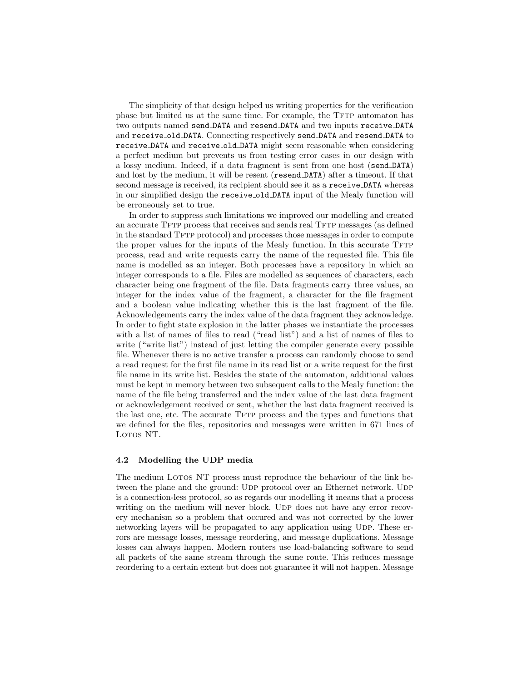The simplicity of that design helped us writing properties for the verification phase but limited us at the same time. For example, the TFTP automaton has two outputs named send DATA and resend DATA and two inputs receive DATA and receive old DATA. Connecting respectively send DATA and resend DATA to receive DATA and receive old DATA might seem reasonable when considering a perfect medium but prevents us from testing error cases in our design with a lossy medium. Indeed, if a data fragment is sent from one host (send DATA) and lost by the medium, it will be resent (resend DATA) after a timeout. If that second message is received, its recipient should see it as a receive DATA whereas in our simplified design the receive old DATA input of the Mealy function will be erroneously set to true.

In order to suppress such limitations we improved our modelling and created an accurate TFTP process that receives and sends real TFTP messages (as defined in the standard TFTP protocol) and processes those messages in order to compute the proper values for the inputs of the Mealy function. In this accurate TFTP process, read and write requests carry the name of the requested file. This file name is modelled as an integer. Both processes have a repository in which an integer corresponds to a file. Files are modelled as sequences of characters, each character being one fragment of the file. Data fragments carry three values, an integer for the index value of the fragment, a character for the file fragment and a boolean value indicating whether this is the last fragment of the file. Acknowledgements carry the index value of the data fragment they acknowledge. In order to fight state explosion in the latter phases we instantiate the processes with a list of names of files to read ("read list") and a list of names of files to write ("write list") instead of just letting the compiler generate every possible file. Whenever there is no active transfer a process can randomly choose to send a read request for the first file name in its read list or a write request for the first file name in its write list. Besides the state of the automaton, additional values must be kept in memory between two subsequent calls to the Mealy function: the name of the file being transferred and the index value of the last data fragment or acknowledgement received or sent, whether the last data fragment received is the last one, etc. The accurate TFTP process and the types and functions that we defined for the files, repositories and messages were written in 671 lines of LOTOS NT.

#### 4.2 Modelling the UDP media

The medium LOTOS NT process must reproduce the behaviour of the link between the plane and the ground: UDP protocol over an Ethernet network. UDP is a connection-less protocol, so as regards our modelling it means that a process writing on the medium will never block. Upp does not have any error recovery mechanism so a problem that occured and was not corrected by the lower networking layers will be propagated to any application using UDP. These errors are message losses, message reordering, and message duplications. Message losses can always happen. Modern routers use load-balancing software to send all packets of the same stream through the same route. This reduces message reordering to a certain extent but does not guarantee it will not happen. Message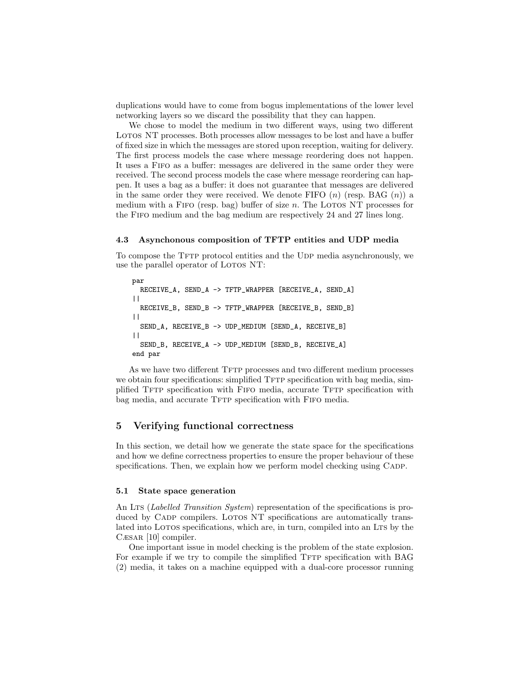duplications would have to come from bogus implementations of the lower level networking layers so we discard the possibility that they can happen.

We chose to model the medium in two different ways, using two different LOTOS NT processes. Both processes allow messages to be lost and have a buffer of fixed size in which the messages are stored upon reception, waiting for delivery. The first process models the case where message reordering does not happen. It uses a Fifo as a buffer: messages are delivered in the same order they were received. The second process models the case where message reordering can happen. It uses a bag as a buffer: it does not guarantee that messages are delivered in the same order they were received. We denote FIFO  $(n)$  (resp. BAG  $(n)$ ) a medium with a FIFO (resp. bag) buffer of size  $n$ . The LOTOS NT processes for the Fifo medium and the bag medium are respectively 24 and 27 lines long.

#### 4.3 Asynchonous composition of TFTP entities and UDP media

To compose the TFTP protocol entities and the UDP media asynchronously, we use the parallel operator of LOTOS NT:

```
par
 RECEIVE_A, SEND_A -> TFTP_WRAPPER [RECEIVE_A, SEND_A]
| \ |RECEIVE_B, SEND_B -> TFTP_WRAPPER [RECEIVE_B, SEND_B]
| \ |SEND_A, RECEIVE_B -> UDP_MEDIUM [SEND_A, RECEIVE_B]
| \ |SEND_B, RECEIVE_A -> UDP_MEDIUM [SEND_B, RECEIVE_A]
end par
```
As we have two different TFTP processes and two different medium processes we obtain four specifications: simplified TFTP specification with bag media, simplified TFTP specification with FIFO media, accurate TFTP specification with bag media, and accurate TFTP specification with FIFO media.

# 5 Verifying functional correctness

In this section, we detail how we generate the state space for the specifications and how we define correctness properties to ensure the proper behaviour of these specifications. Then, we explain how we perform model checking using CADP.

#### 5.1 State space generation

An LTS (*Labelled Transition System*) representation of the specifications is produced by CADP compilers. LOTOS NT specifications are automatically translated into LOTOS specifications, which are, in turn, compiled into an LTS by the Cæsar [10] compiler.

One important issue in model checking is the problem of the state explosion. For example if we try to compile the simplified TFTP specification with BAG (2) media, it takes on a machine equipped with a dual-core processor running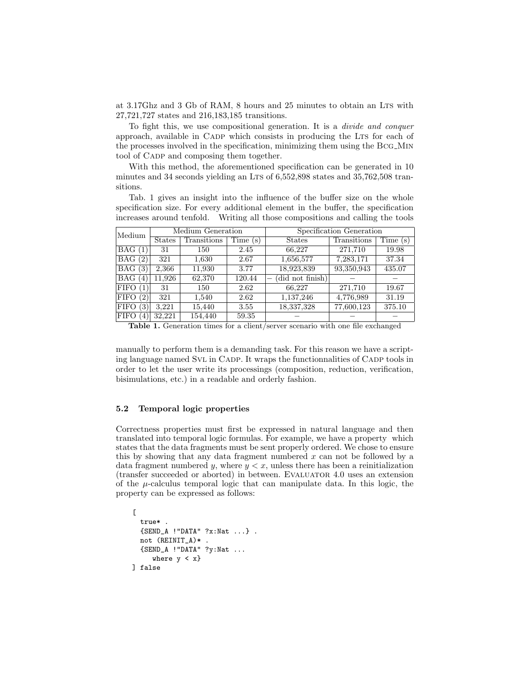at 3.17Ghz and 3 Gb of RAM, 8 hours and 25 minutes to obtain an Lts with 27,721,727 states and 216,183,185 transitions.

To fight this, we use compositional generation. It is a divide and conquer approach, available in CADP which consists in producing the LTS for each of the processes involved in the specification, minimizing them using the Bcg Min tool of CADP and composing them together.

With this method, the aforementioned specification can be generated in 10 minutes and 34 seconds yielding an LTs of  $6,552,898$  states and  $35,762,508$  transitions.

Tab. 1 gives an insight into the influence of the buffer size on the whole specification size. For every additional element in the buffer, the specification increases around tenfold. Writing all those compositions and calling the tools

| Medium                    | Medium Generation |             |         | Specification Generation |             |         |
|---------------------------|-------------------|-------------|---------|--------------------------|-------------|---------|
|                           | <b>States</b>     | Transitions | Time(s) | <b>States</b>            | Transitions | Time(s) |
| BAG(1)                    | 31                | 150         | 2.45    | 66,227                   | 271,710     | 19.98   |
| BAG(2)                    | 321               | 1.630       | 2.67    | 1,656,577                | 7,283,171   | 37.34   |
| BAG(3)                    | 2,366             | 11,930      | 3.77    | 18,923,839               | 93,350,943  | 435.07  |
| BAG (<br>$\left(4\right)$ | 11.926            | 62,370      | 120.44  | (did not finish)         |             |         |
| FIFO(1)                   | 31                | 150         | 2.62    | 66,227                   | 271,710     | 19.67   |
| FIFO(2)                   | 321               | 1,540       | 2.62    | 1,137,246                | 4,776,989   | 31.19   |
| FIFO(3)                   | 3.221             | 15,440      | 3.55    | 18,337,328               | 77,600,123  | 375.10  |
| <b>FIFO</b><br>(4)        | 32.221            | 154.440     | 59.35   |                          |             |         |

Table 1. Generation times for a client/server scenario with one file exchanged

manually to perform them is a demanding task. For this reason we have a scripting language named SVL in CADP. It wraps the functionnalities of CADP tools in order to let the user write its processings (composition, reduction, verification, bisimulations, etc.) in a readable and orderly fashion.

#### 5.2 Temporal logic properties

Correctness properties must first be expressed in natural language and then translated into temporal logic formulas. For example, we have a property which states that the data fragments must be sent properly ordered. We chose to ensure this by showing that any data fragment numbered x can not be followed by a data fragment numbered y, where  $y < x$ , unless there has been a reinitialization (transfer succeeded or aborted) in between. Evaluator 4.0 uses an extension of the  $\mu$ -calculus temporal logic that can manipulate data. In this logic, the property can be expressed as follows:

 $\Gamma$ true\* .  ${SEND_A}$  !"DATA" ?x:Nat ...}. not (REINIT\_A)\* . {SEND\_A !"DATA" ?y:Nat ... where  $y < x$ } ] false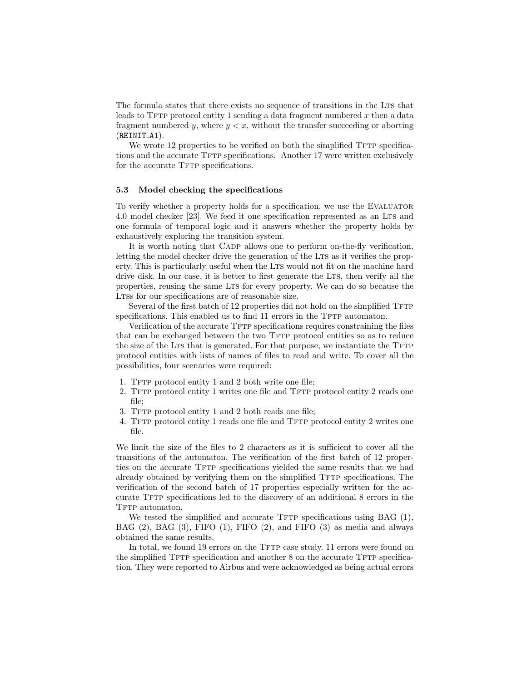The formula states that there exists no sequence of transitions in the Lts that leads to  $T$  for protocol entity 1 sending a data fragment numbered x then a data fragment numbered y, where  $y < x$ , without the transfer succeeding or aborting  $(REINTIA1)$ .

We wrote 12 properties to be verified on both the simplified TFTP specifications and the accurate TFTP specifications. Another 17 were written exclusively for the accurate TFTP specifications.

#### 5.3 Model checking the specifications

To verify whether a property holds for a specification, we use the Evaluator 4.0 model checker [23]. We feed it one specification represented as an LTS and one formula of temporal logic and it answers whether the property holds by exhaustively exploring the transition system.

It is worth noting that CADP allows one to perform on-the-fly verification, letting the model checker drive the generation of the LTS as it verifies the property. This is particularly useful when the LTS would not fit on the machine hard drive disk. In our case, it is better to first generate the LTS, then verify all the properties, reusing the same Lts for every property. We can do so because the LTSs for our specifications are of reasonable size.

Several of the first batch of 12 properties did not hold on the simplified TFTP specifications. This enabled us to find 11 errors in the TFTP automaton.

Verification of the accurate TFTP specifications requires constraining the files that can be exchanged between the two TFTP protocol entities so as to reduce the size of the LTS that is generated. For that purpose, we instantiate the TFTP protocol entities with lists of names of files to read and write. To cover all the possibilities, four scenarios were required:

- 1. TFTP protocol entity 1 and 2 both write one file;
- 2. TFTP protocol entity 1 writes one file and TFTP protocol entity 2 reads one file;
- 3. TFTP protocol entity 1 and 2 both reads one file;
- 4. TFTP protocol entity 1 reads one file and TFTP protocol entity 2 writes one file.

We limit the size of the files to 2 characters as it is sufficient to cover all the transitions of the automaton. The verification of the first batch of 12 properties on the accurate TFTP specifications yielded the same results that we had already obtained by verifying them on the simplified TFTP specifications. The verification of the second batch of 17 properties especially written for the accurate TFTP specifications led to the discovery of an additional 8 errors in the TFTP automaton.

We tested the simplified and accurate  $T$  specifications using BAG  $(1)$ , BAG (2), BAG (3), FIFO (1), FIFO (2), and FIFO (3) as media and always obtained the same results.

In total, we found 19 errors on the TFTP case study. 11 errors were found on the simplified  $T$ FTP specification and another  $8$  on the accurate  $T$ FTP specification. They were reported to Airbus and were acknowledged as being actual errors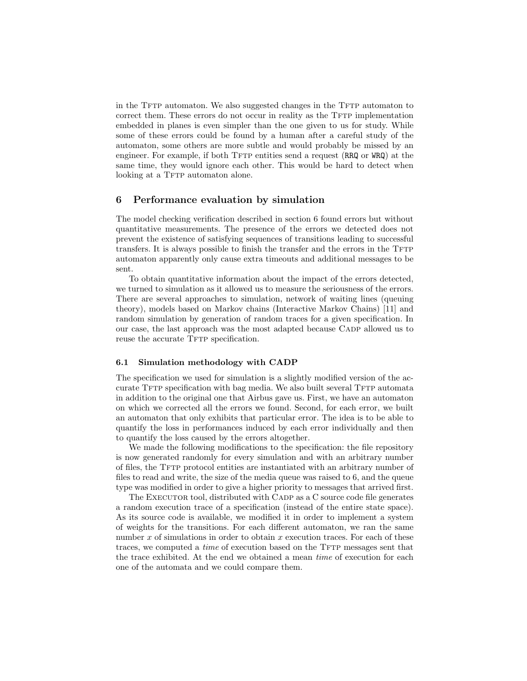in the TFTP automaton. We also suggested changes in the TFTP automaton to correct them. These errors do not occur in reality as the TFTP implementation embedded in planes is even simpler than the one given to us for study. While some of these errors could be found by a human after a careful study of the automaton, some others are more subtle and would probably be missed by an engineer. For example, if both TFTP entities send a request (RRQ or WRQ) at the same time, they would ignore each other. This would be hard to detect when looking at a TFTP automaton alone.

## 6 Performance evaluation by simulation

The model checking verification described in section 6 found errors but without quantitative measurements. The presence of the errors we detected does not prevent the existence of satisfying sequences of transitions leading to successful transfers. It is always possible to finish the transfer and the errors in the TFTP automaton apparently only cause extra timeouts and additional messages to be sent.

To obtain quantitative information about the impact of the errors detected, we turned to simulation as it allowed us to measure the seriousness of the errors. There are several approaches to simulation, network of waiting lines (queuing theory), models based on Markov chains (Interactive Markov Chains) [11] and random simulation by generation of random traces for a given specification. In our case, the last approach was the most adapted because Cadp allowed us to reuse the accurate TFTP specification.

#### 6.1 Simulation methodology with CADP

The specification we used for simulation is a slightly modified version of the accurate TFTP specification with bag media. We also built several TFTP automata in addition to the original one that Airbus gave us. First, we have an automaton on which we corrected all the errors we found. Second, for each error, we built an automaton that only exhibits that particular error. The idea is to be able to quantify the loss in performances induced by each error individually and then to quantify the loss caused by the errors altogether.

We made the following modifications to the specification: the file repository is now generated randomly for every simulation and with an arbitrary number of files, the TFTP protocol entities are instantiated with an arbitrary number of files to read and write, the size of the media queue was raised to 6, and the queue type was modified in order to give a higher priority to messages that arrived first.

The EXECUTOR tool, distributed with CADP as a C source code file generates a random execution trace of a specification (instead of the entire state space). As its source code is available, we modified it in order to implement a system of weights for the transitions. For each different automaton, we ran the same number x of simulations in order to obtain x execution traces. For each of these traces, we computed a *time* of execution based on the TFTP messages sent that the trace exhibited. At the end we obtained a mean time of execution for each one of the automata and we could compare them.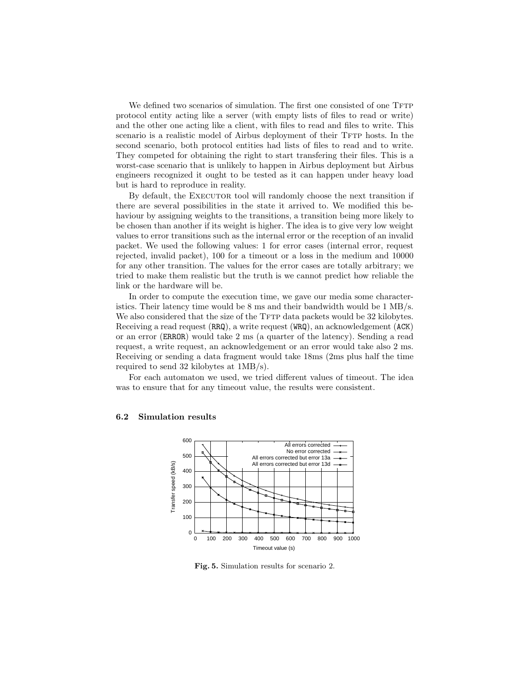We defined two scenarios of simulation. The first one consisted of one TFTP protocol entity acting like a server (with empty lists of files to read or write) and the other one acting like a client, with files to read and files to write. This scenario is a realistic model of Airbus deployment of their TFTP hosts. In the second scenario, both protocol entities had lists of files to read and to write. They competed for obtaining the right to start transfering their files. This is a worst-case scenario that is unlikely to happen in Airbus deployment but Airbus engineers recognized it ought to be tested as it can happen under heavy load but is hard to reproduce in reality.

By default, the EXECUTOR tool will randomly choose the next transition if there are several possibilities in the state it arrived to. We modified this behaviour by assigning weights to the transitions, a transition being more likely to be chosen than another if its weight is higher. The idea is to give very low weight values to error transitions such as the internal error or the reception of an invalid packet. We used the following values: 1 for error cases (internal error, request rejected, invalid packet), 100 for a timeout or a loss in the medium and 10000 for any other transition. The values for the error cases are totally arbitrary; we tried to make them realistic but the truth is we cannot predict how reliable the link or the hardware will be.

In order to compute the execution time, we gave our media some characteristics. Their latency time would be 8 ms and their bandwidth would be 1 MB/s. We also considered that the size of the TFTP data packets would be 32 kilobytes. Receiving a read request (RRQ), a write request (WRQ), an acknowledgement (ACK) or an error (ERROR) would take 2 ms (a quarter of the latency). Sending a read request, a write request, an acknowledgement or an error would take also 2 ms. Receiving or sending a data fragment would take 18ms (2ms plus half the time required to send 32 kilobytes at 1MB/s).

For each automaton we used, we tried different values of timeout. The idea was to ensure that for any timeout value, the results were consistent.



#### 6.2 Simulation results

Fig. 5. Simulation results for scenario 2.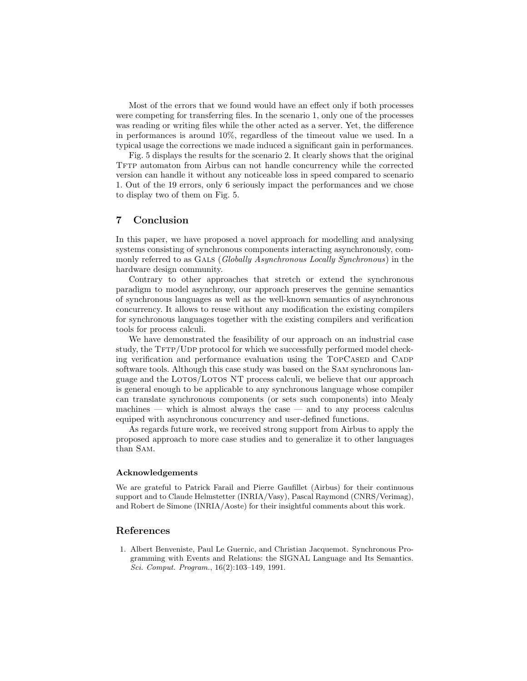Most of the errors that we found would have an effect only if both processes were competing for transferring files. In the scenario 1, only one of the processes was reading or writing files while the other acted as a server. Yet, the difference in performances is around 10%, regardless of the timeout value we used. In a typical usage the corrections we made induced a significant gain in performances.

Fig. 5 displays the results for the scenario 2. It clearly shows that the original TFTP automaton from Airbus can not handle concurrency while the corrected version can handle it without any noticeable loss in speed compared to scenario 1. Out of the 19 errors, only 6 seriously impact the performances and we chose to display two of them on Fig. 5.

# 7 Conclusion

In this paper, we have proposed a novel approach for modelling and analysing systems consisting of synchronous components interacting asynchronously, commonly referred to as GALS (Globally Asynchronous Locally Synchronous) in the hardware design community.

Contrary to other approaches that stretch or extend the synchronous paradigm to model asynchrony, our approach preserves the genuine semantics of synchronous languages as well as the well-known semantics of asynchronous concurrency. It allows to reuse without any modification the existing compilers for synchronous languages together with the existing compilers and verification tools for process calculi.

We have demonstrated the feasibility of our approach on an industrial case study, the  $TFTP/UDP$  protocol for which we successfully performed model checking verification and performance evaluation using the TOPCASED and CADP software tools. Although this case study was based on the Sam synchronous language and the LOTOS/LOTOS NT process calculi, we believe that our approach is general enough to be applicable to any synchronous language whose compiler can translate synchronous components (or sets such components) into Mealy machines — which is almost always the case — and to any process calculus equiped with asynchronous concurrency and user-defined functions.

As regards future work, we received strong support from Airbus to apply the proposed approach to more case studies and to generalize it to other languages than Sam.

#### Acknowledgements

We are grateful to Patrick Farail and Pierre Gaufillet (Airbus) for their continuous support and to Claude Helmstetter (INRIA/Vasy), Pascal Raymond (CNRS/Verimag), and Robert de Simone (INRIA/Aoste) for their insightful comments about this work.

# References

1. Albert Benveniste, Paul Le Guernic, and Christian Jacquemot. Synchronous Programming with Events and Relations: the SIGNAL Language and Its Semantics. Sci. Comput. Program., 16(2):103–149, 1991.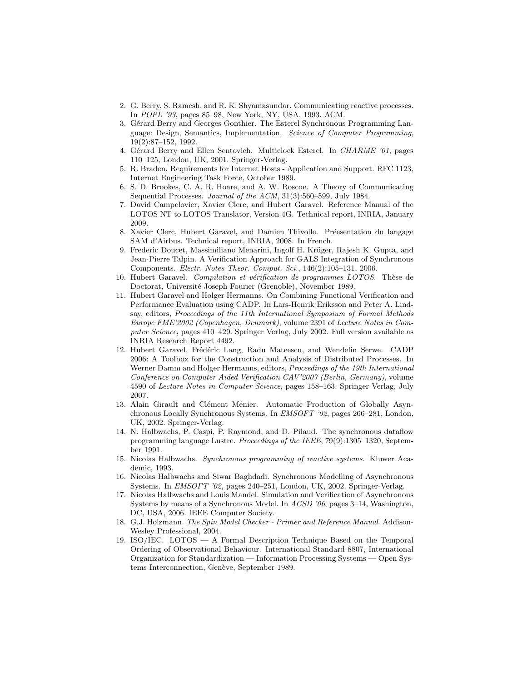- 2. G. Berry, S. Ramesh, and R. K. Shyamasundar. Communicating reactive processes. In POPL '93, pages 85–98, New York, NY, USA, 1993. ACM.
- 3. Gérard Berry and Georges Gonthier. The Esterel Synchronous Programming Language: Design, Semantics, Implementation. Science of Computer Programming, 19(2):87–152, 1992.
- 4. Gérard Berry and Ellen Sentovich. Multiclock Esterel. In CHARME '01, pages 110–125, London, UK, 2001. Springer-Verlag.
- 5. R. Braden. Requirements for Internet Hosts Application and Support. RFC 1123, Internet Engineering Task Force, October 1989.
- 6. S. D. Brookes, C. A. R. Hoare, and A. W. Roscoe. A Theory of Communicating Sequential Processes. Journal of the ACM, 31(3):560-599, July 1984.
- 7. David Campelovier, Xavier Clerc, and Hubert Garavel. Reference Manual of the LOTOS NT to LOTOS Translator, Version 4G. Technical report, INRIA, January 2009.
- 8. Xavier Clerc, Hubert Garavel, and Damien Thivolle. Préesentation du langage SAM d'Airbus. Technical report, INRIA, 2008. In French.
- 9. Frederic Doucet, Massimiliano Menarini, Ingolf H. Krüger, Rajesh K. Gupta, and Jean-Pierre Talpin. A Verification Approach for GALS Integration of Synchronous Components. Electr. Notes Theor. Comput. Sci., 146(2):105–131, 2006.
- 10. Hubert Garavel. Compilation et vérification de programmes LOTOS. Thèse de Doctorat, Université Joseph Fourier (Grenoble), November 1989.
- 11. Hubert Garavel and Holger Hermanns. On Combining Functional Verification and Performance Evaluation using CADP. In Lars-Henrik Eriksson and Peter A. Lindsay, editors, Proceedings of the 11th International Symposium of Formal Methods Europe FME'2002 (Copenhagen, Denmark), volume 2391 of Lecture Notes in Computer Science, pages 410–429. Springer Verlag, July 2002. Full version available as INRIA Research Report 4492.
- 12. Hubert Garavel, Frédéric Lang, Radu Mateescu, and Wendelin Serwe. CADP 2006: A Toolbox for the Construction and Analysis of Distributed Processes. In Werner Damm and Holger Hermanns, editors, *Proceedings of the 19th International* Conference on Computer Aided Verification CAV'2007 (Berlin, Germany), volume 4590 of Lecture Notes in Computer Science, pages 158–163. Springer Verlag, July 2007.
- 13. Alain Girault and Clément Ménier. Automatic Production of Globally Asynchronous Locally Synchronous Systems. In EMSOFT '02, pages 266–281, London, UK, 2002. Springer-Verlag.
- 14. N. Halbwachs, P. Caspi, P. Raymond, and D. Pilaud. The synchronous dataflow programming language Lustre. Proceedings of the IEEE, 79(9):1305–1320, September 1991.
- 15. Nicolas Halbwachs. Synchronous programming of reactive systems. Kluwer Academic, 1993.
- 16. Nicolas Halbwachs and Siwar Baghdadi. Synchronous Modelling of Asynchronous Systems. In EMSOFT '02, pages 240–251, London, UK, 2002. Springer-Verlag.
- 17. Nicolas Halbwachs and Louis Mandel. Simulation and Verification of Asynchronous Systems by means of a Synchronous Model. In ACSD '06, pages 3–14, Washington, DC, USA, 2006. IEEE Computer Society.
- 18. G.J. Holzmann. The Spin Model Checker Primer and Reference Manual. Addison-Wesley Professional, 2004.
- 19. ISO/IEC. LOTOS A Formal Description Technique Based on the Temporal Ordering of Observational Behaviour. International Standard 8807, International Organization for Standardization — Information Processing Systems — Open Systems Interconnection, Genève, September 1989.